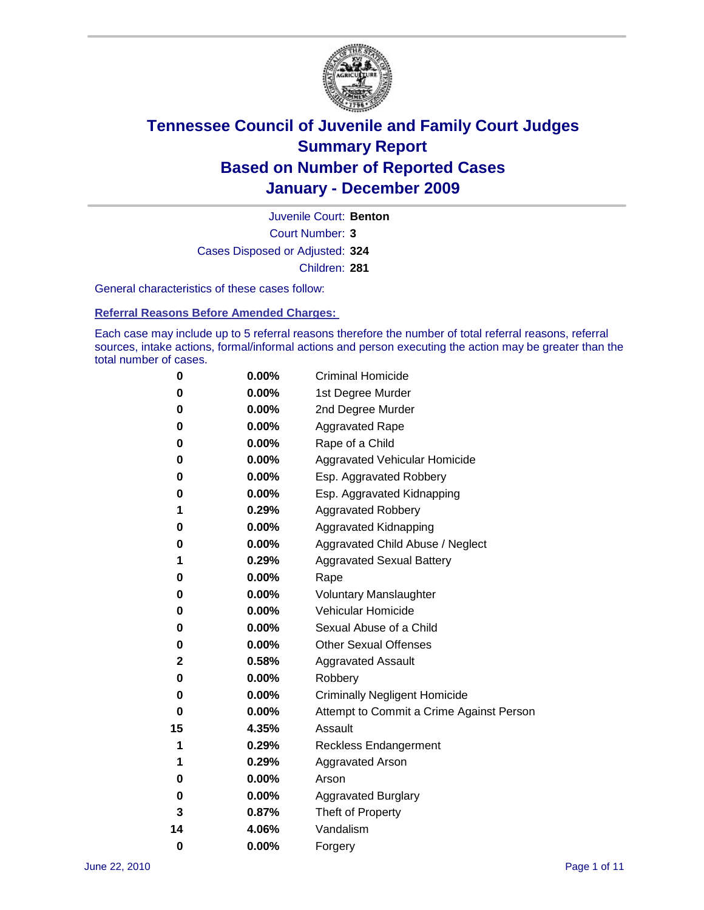

Court Number: **3** Juvenile Court: **Benton** Cases Disposed or Adjusted: **324** Children: **281**

General characteristics of these cases follow:

**Referral Reasons Before Amended Charges:** 

Each case may include up to 5 referral reasons therefore the number of total referral reasons, referral sources, intake actions, formal/informal actions and person executing the action may be greater than the total number of cases.

| 0  | 0.00% | <b>Criminal Homicide</b>                 |
|----|-------|------------------------------------------|
| 0  | 0.00% | 1st Degree Murder                        |
| 0  | 0.00% | 2nd Degree Murder                        |
| 0  | 0.00% | <b>Aggravated Rape</b>                   |
| 0  | 0.00% | Rape of a Child                          |
| 0  | 0.00% | Aggravated Vehicular Homicide            |
| 0  | 0.00% | Esp. Aggravated Robbery                  |
| 0  | 0.00% | Esp. Aggravated Kidnapping               |
| 1  | 0.29% | <b>Aggravated Robbery</b>                |
| 0  | 0.00% | Aggravated Kidnapping                    |
| 0  | 0.00% | Aggravated Child Abuse / Neglect         |
| 1  | 0.29% | <b>Aggravated Sexual Battery</b>         |
| 0  | 0.00% | Rape                                     |
| 0  | 0.00% | <b>Voluntary Manslaughter</b>            |
| 0  | 0.00% | Vehicular Homicide                       |
| 0  | 0.00% | Sexual Abuse of a Child                  |
| 0  | 0.00% | <b>Other Sexual Offenses</b>             |
| 2  | 0.58% | <b>Aggravated Assault</b>                |
| 0  | 0.00% | Robbery                                  |
| 0  | 0.00% | <b>Criminally Negligent Homicide</b>     |
| 0  | 0.00% | Attempt to Commit a Crime Against Person |
| 15 | 4.35% | Assault                                  |
| 1  | 0.29% | <b>Reckless Endangerment</b>             |
| 1  | 0.29% | <b>Aggravated Arson</b>                  |
| 0  | 0.00% | Arson                                    |
| 0  | 0.00% | <b>Aggravated Burglary</b>               |
| 3  | 0.87% | Theft of Property                        |
| 14 | 4.06% | Vandalism                                |
| 0  | 0.00% | Forgery                                  |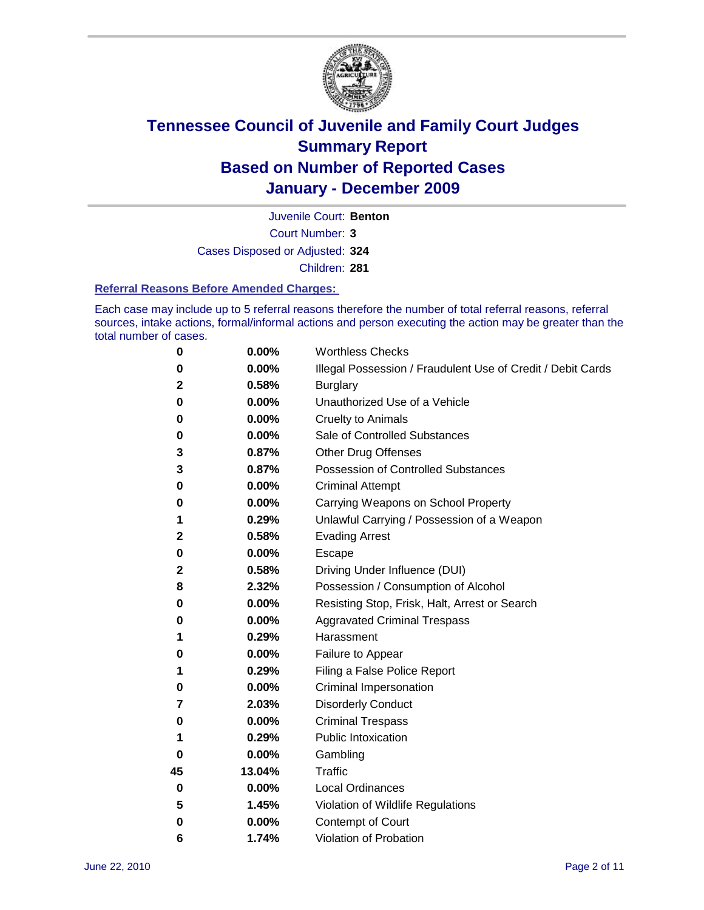

Juvenile Court: **Benton**

Court Number: **3**

Cases Disposed or Adjusted: **324**

Children: **281**

#### **Referral Reasons Before Amended Charges:**

Each case may include up to 5 referral reasons therefore the number of total referral reasons, referral sources, intake actions, formal/informal actions and person executing the action may be greater than the total number of cases.

| 0  | 0.00%  | <b>Worthless Checks</b>                                     |
|----|--------|-------------------------------------------------------------|
| 0  | 0.00%  | Illegal Possession / Fraudulent Use of Credit / Debit Cards |
| 2  | 0.58%  | <b>Burglary</b>                                             |
| 0  | 0.00%  | Unauthorized Use of a Vehicle                               |
| 0  | 0.00%  | <b>Cruelty to Animals</b>                                   |
| 0  | 0.00%  | Sale of Controlled Substances                               |
| 3  | 0.87%  | <b>Other Drug Offenses</b>                                  |
| 3  | 0.87%  | <b>Possession of Controlled Substances</b>                  |
| 0  | 0.00%  | <b>Criminal Attempt</b>                                     |
| 0  | 0.00%  | Carrying Weapons on School Property                         |
| 1  | 0.29%  | Unlawful Carrying / Possession of a Weapon                  |
| 2  | 0.58%  | <b>Evading Arrest</b>                                       |
| 0  | 0.00%  | Escape                                                      |
| 2  | 0.58%  | Driving Under Influence (DUI)                               |
| 8  | 2.32%  | Possession / Consumption of Alcohol                         |
| 0  | 0.00%  | Resisting Stop, Frisk, Halt, Arrest or Search               |
| 0  | 0.00%  | <b>Aggravated Criminal Trespass</b>                         |
| 1  | 0.29%  | Harassment                                                  |
| 0  | 0.00%  | Failure to Appear                                           |
| 1  | 0.29%  | Filing a False Police Report                                |
| 0  | 0.00%  | Criminal Impersonation                                      |
| 7  | 2.03%  | <b>Disorderly Conduct</b>                                   |
| 0  | 0.00%  | <b>Criminal Trespass</b>                                    |
| 1  | 0.29%  | <b>Public Intoxication</b>                                  |
| 0  | 0.00%  | Gambling                                                    |
| 45 | 13.04% | <b>Traffic</b>                                              |
| 0  | 0.00%  | <b>Local Ordinances</b>                                     |
| 5  | 1.45%  | Violation of Wildlife Regulations                           |
| 0  | 0.00%  | Contempt of Court                                           |
| 6  | 1.74%  | Violation of Probation                                      |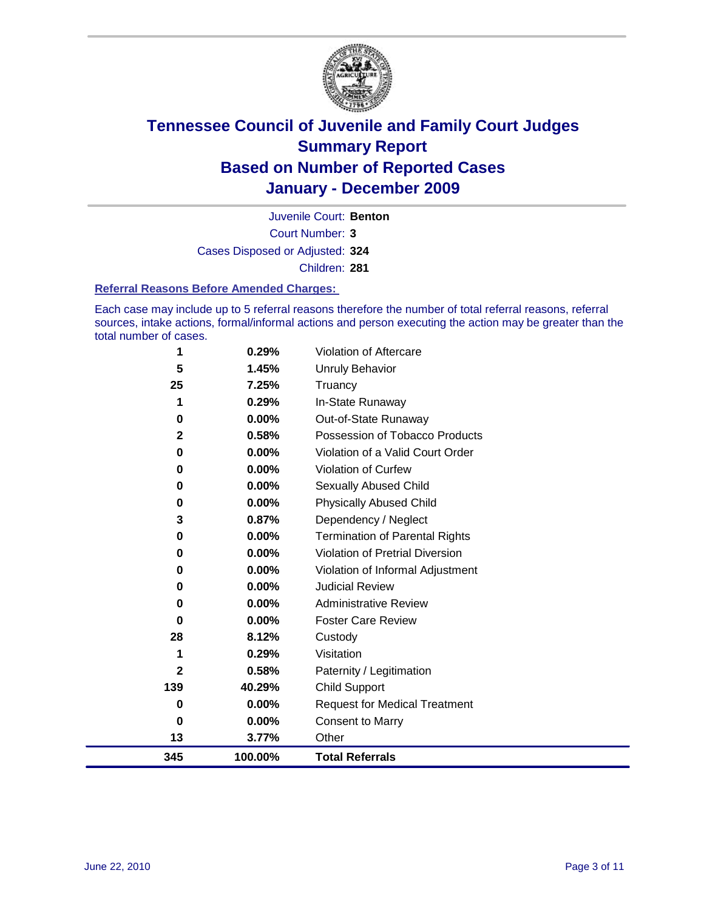

Court Number: **3** Juvenile Court: **Benton** Cases Disposed or Adjusted: **324**

Children: **281**

#### **Referral Reasons Before Amended Charges:**

Each case may include up to 5 referral reasons therefore the number of total referral reasons, referral sources, intake actions, formal/informal actions and person executing the action may be greater than the total number of cases.

| 345         | 100.00%  | <b>Total Referrals</b>                 |
|-------------|----------|----------------------------------------|
| 13          | 3.77%    | Other                                  |
| 0           | 0.00%    | <b>Consent to Marry</b>                |
| 0           | $0.00\%$ | <b>Request for Medical Treatment</b>   |
| 139         | 40.29%   | <b>Child Support</b>                   |
| 2           | 0.58%    | Paternity / Legitimation               |
| 1           | 0.29%    | Visitation                             |
| 28          | 8.12%    | Custody                                |
| $\bf{0}$    | 0.00%    | <b>Foster Care Review</b>              |
| 0           | $0.00\%$ | <b>Administrative Review</b>           |
| 0           | $0.00\%$ | <b>Judicial Review</b>                 |
| 0           | 0.00%    | Violation of Informal Adjustment       |
| 0           | $0.00\%$ | <b>Violation of Pretrial Diversion</b> |
| 0           | $0.00\%$ | Termination of Parental Rights         |
| 3           | 0.87%    | Dependency / Neglect                   |
| 0           | $0.00\%$ | <b>Physically Abused Child</b>         |
| 0           | 0.00%    | Sexually Abused Child                  |
| 0           | $0.00\%$ | Violation of Curfew                    |
| 0           | $0.00\%$ | Violation of a Valid Court Order       |
| $\mathbf 2$ | 0.58%    | Possession of Tobacco Products         |
| 0           | $0.00\%$ | Out-of-State Runaway                   |
|             | 0.29%    | In-State Runaway                       |
| 25          | 7.25%    | Truancy                                |
| 5           | 1.45%    | <b>Unruly Behavior</b>                 |
| 1           | 0.29%    | <b>Violation of Aftercare</b>          |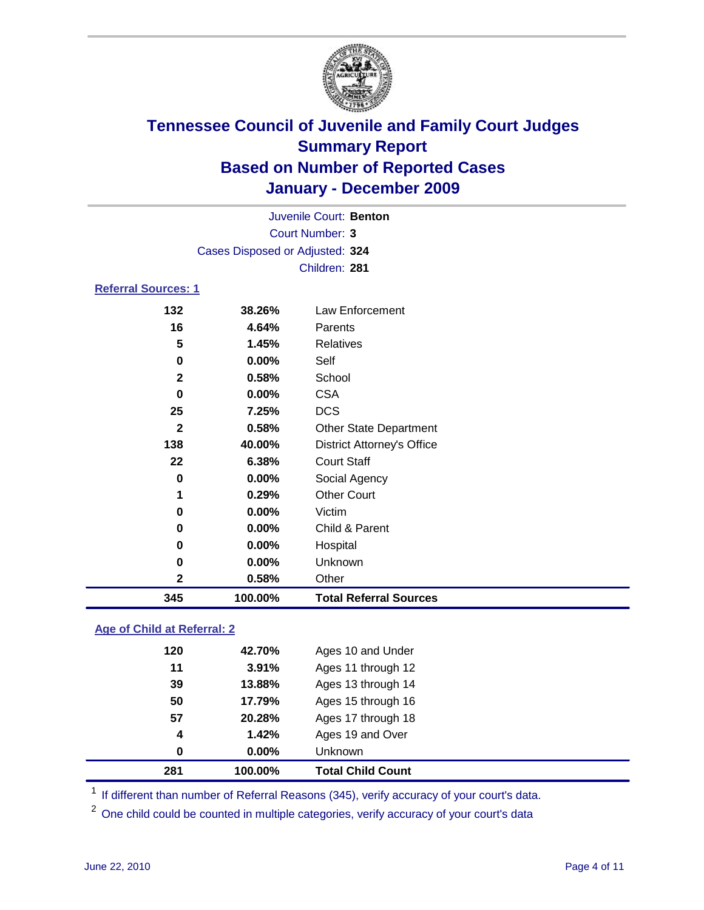

| Juvenile Court: Benton          |               |                                   |  |  |  |  |
|---------------------------------|---------------|-----------------------------------|--|--|--|--|
|                                 |               | <b>Court Number: 3</b>            |  |  |  |  |
| Cases Disposed or Adjusted: 324 |               |                                   |  |  |  |  |
|                                 | Children: 281 |                                   |  |  |  |  |
| <b>Referral Sources: 1</b>      |               |                                   |  |  |  |  |
| 132                             | 38.26%        | <b>Law Enforcement</b>            |  |  |  |  |
| 16                              | 4.64%         | Parents                           |  |  |  |  |
| 5                               | 1.45%         | <b>Relatives</b>                  |  |  |  |  |
| 0                               | $0.00\%$      | Self                              |  |  |  |  |
| $\mathbf 2$                     | 0.58%         | School                            |  |  |  |  |
| 0                               | $0.00\%$      | <b>CSA</b>                        |  |  |  |  |
| 25                              | 7.25%         | <b>DCS</b>                        |  |  |  |  |
| $\mathbf{2}$                    | 0.58%         | <b>Other State Department</b>     |  |  |  |  |
| 138                             | 40.00%        | <b>District Attorney's Office</b> |  |  |  |  |
| 22                              | 6.38%         | <b>Court Staff</b>                |  |  |  |  |
| 0                               | $0.00\%$      | Social Agency                     |  |  |  |  |
| 1                               | 0.29%         | <b>Other Court</b>                |  |  |  |  |
| 0                               | $0.00\%$      | Victim                            |  |  |  |  |
| 0                               | $0.00\%$      | Child & Parent                    |  |  |  |  |
| 0                               | $0.00\%$      | Hospital                          |  |  |  |  |
| 0                               | $0.00\%$      | Unknown                           |  |  |  |  |
| $\mathbf 2$                     | 0.58%         | Other                             |  |  |  |  |
| 345                             | 100.00%       | <b>Total Referral Sources</b>     |  |  |  |  |

### **Age of Child at Referral: 2**

| 4<br>0 | 1.42%<br>0.00% | Ages 19 and Over<br><b>Unknown</b> |  |
|--------|----------------|------------------------------------|--|
|        |                |                                    |  |
|        |                |                                    |  |
| 57     | 20.28%         | Ages 17 through 18                 |  |
| 50     | 17.79%         | Ages 15 through 16                 |  |
| 39     | 13.88%         | Ages 13 through 14                 |  |
| 11     | 3.91%          | Ages 11 through 12                 |  |
| 120    | 42.70%         | Ages 10 and Under                  |  |
|        |                |                                    |  |

<sup>1</sup> If different than number of Referral Reasons (345), verify accuracy of your court's data.

<sup>2</sup> One child could be counted in multiple categories, verify accuracy of your court's data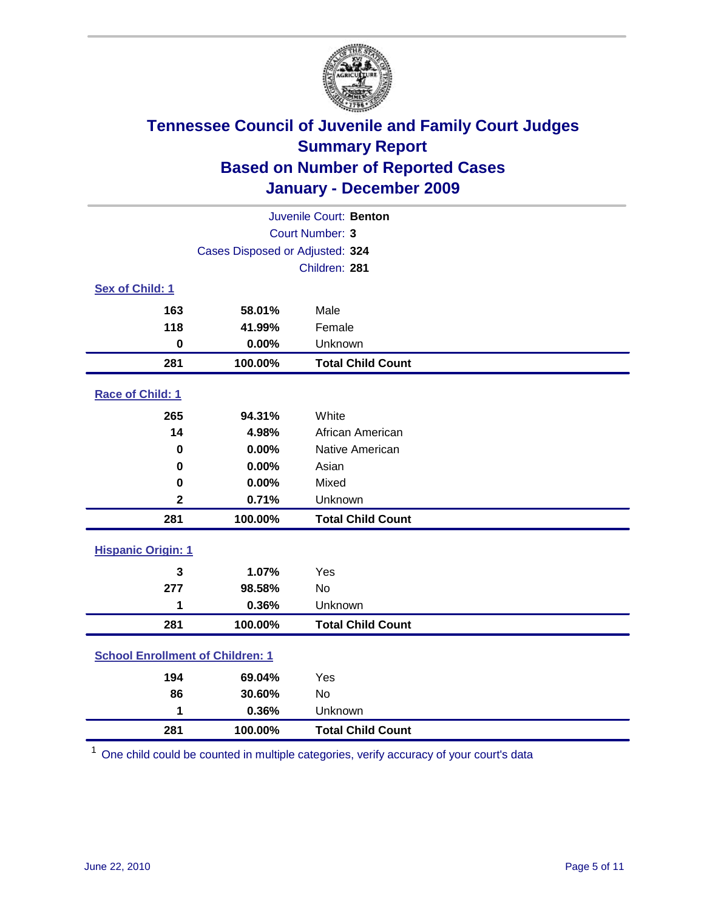

|                           | Juvenile Court: Benton                  |                          |  |  |  |
|---------------------------|-----------------------------------------|--------------------------|--|--|--|
|                           | <b>Court Number: 3</b>                  |                          |  |  |  |
|                           | Cases Disposed or Adjusted: 324         |                          |  |  |  |
|                           |                                         | Children: 281            |  |  |  |
| Sex of Child: 1           |                                         |                          |  |  |  |
| 163                       | 58.01%                                  | Male                     |  |  |  |
| 118                       | 41.99%                                  | Female                   |  |  |  |
| $\mathbf 0$               | 0.00%                                   | Unknown                  |  |  |  |
| 281                       | 100.00%                                 | <b>Total Child Count</b> |  |  |  |
| Race of Child: 1          |                                         |                          |  |  |  |
| 265                       | 94.31%                                  | White                    |  |  |  |
| 14                        | 4.98%                                   | African American         |  |  |  |
| 0                         | 0.00%                                   | Native American          |  |  |  |
| 0                         | 0.00%                                   | Asian                    |  |  |  |
| $\mathbf 0$               | 0.00%                                   | Mixed                    |  |  |  |
| $\overline{\mathbf{2}}$   | 0.71%                                   | Unknown                  |  |  |  |
| 281                       | 100.00%                                 | <b>Total Child Count</b> |  |  |  |
| <b>Hispanic Origin: 1</b> |                                         |                          |  |  |  |
| 3                         | 1.07%                                   | Yes                      |  |  |  |
| 277                       | 98.58%                                  | No                       |  |  |  |
| 1                         | 0.36%                                   | Unknown                  |  |  |  |
| 281                       | 100.00%                                 | <b>Total Child Count</b> |  |  |  |
|                           | <b>School Enrollment of Children: 1</b> |                          |  |  |  |
| 194                       | 69.04%                                  | Yes                      |  |  |  |
| 86                        | 30.60%                                  | No                       |  |  |  |
| 1                         | 0.36%                                   | Unknown                  |  |  |  |
| 281                       | 100.00%                                 | <b>Total Child Count</b> |  |  |  |

One child could be counted in multiple categories, verify accuracy of your court's data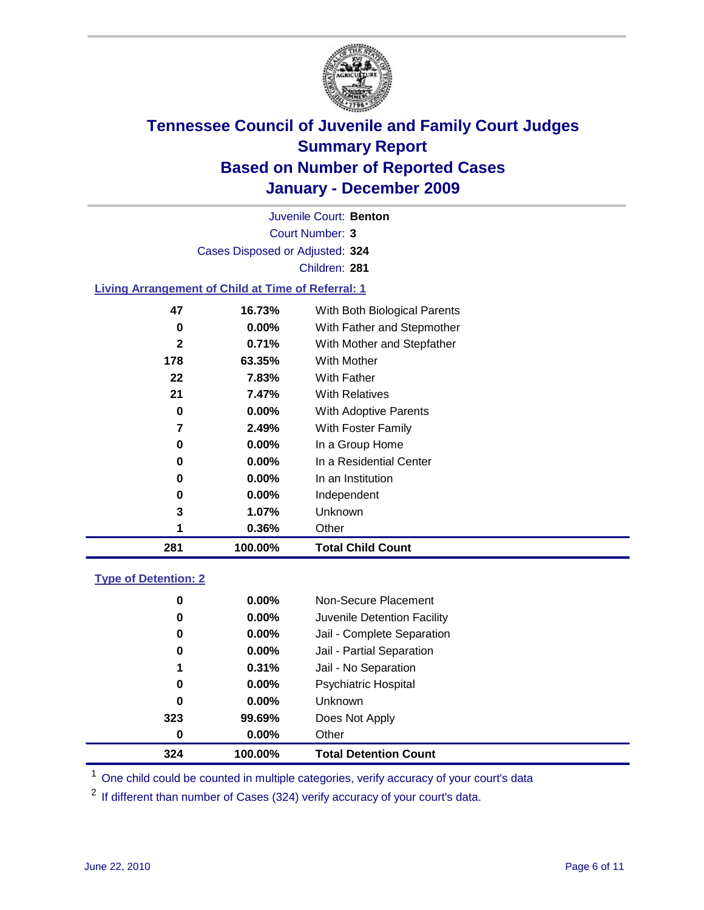

Court Number: **3** Juvenile Court: **Benton** Cases Disposed or Adjusted: **324** Children: **281**

#### **Living Arrangement of Child at Time of Referral: 1**

| 281          | 100.00%  | <b>Total Child Count</b>     |
|--------------|----------|------------------------------|
| 1            | 0.36%    | Other                        |
| 3            | 1.07%    | <b>Unknown</b>               |
| 0            | $0.00\%$ | Independent                  |
| 0            | $0.00\%$ | In an Institution            |
| 0            | $0.00\%$ | In a Residential Center      |
| 0            | 0.00%    | In a Group Home              |
| 7            | 2.49%    | With Foster Family           |
| 0            | 0.00%    | With Adoptive Parents        |
| 21           | 7.47%    | <b>With Relatives</b>        |
| 22           | 7.83%    | With Father                  |
| 178          | 63.35%   | With Mother                  |
| $\mathbf{2}$ | 0.71%    | With Mother and Stepfather   |
| 0            | $0.00\%$ | With Father and Stepmother   |
| 47           | 16.73%   | With Both Biological Parents |
|              |          |                              |

#### **Type of Detention: 2**

| 324 | 100.00%  | <b>Total Detention Count</b> |  |
|-----|----------|------------------------------|--|
| 0   | $0.00\%$ | Other                        |  |
| 323 | 99.69%   | Does Not Apply               |  |
| 0   | $0.00\%$ | <b>Unknown</b>               |  |
| 0   | 0.00%    | <b>Psychiatric Hospital</b>  |  |
| 1   | 0.31%    | Jail - No Separation         |  |
| 0   | $0.00\%$ | Jail - Partial Separation    |  |
| 0   | $0.00\%$ | Jail - Complete Separation   |  |
| 0   | $0.00\%$ | Juvenile Detention Facility  |  |
| 0   | $0.00\%$ | Non-Secure Placement         |  |
|     |          |                              |  |

<sup>1</sup> One child could be counted in multiple categories, verify accuracy of your court's data

<sup>2</sup> If different than number of Cases (324) verify accuracy of your court's data.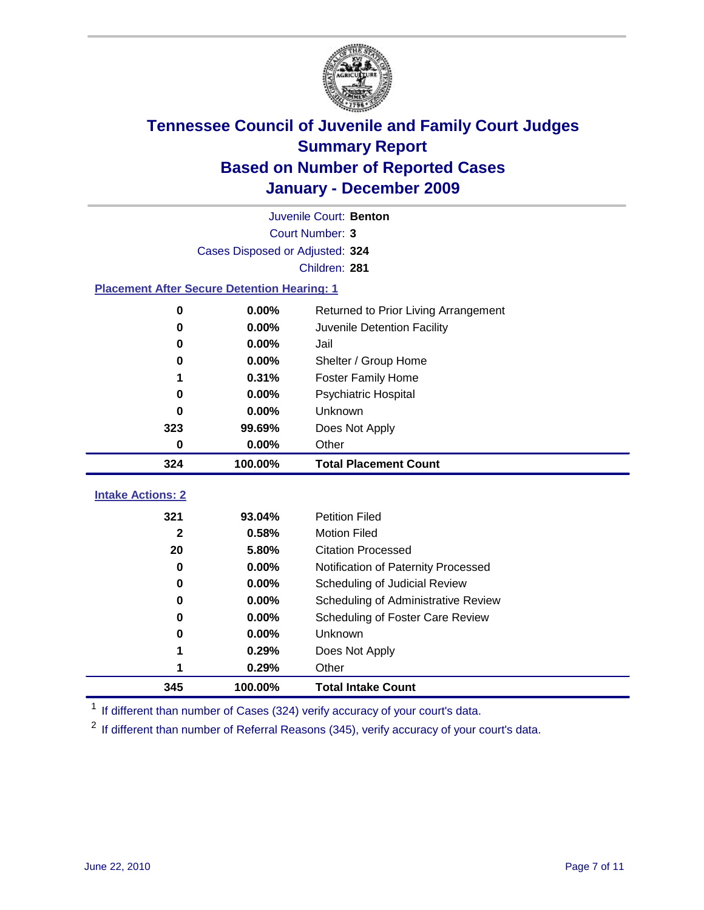

|                          | Juvenile Court: Benton                             |                                      |  |  |  |
|--------------------------|----------------------------------------------------|--------------------------------------|--|--|--|
|                          | <b>Court Number: 3</b>                             |                                      |  |  |  |
|                          | Cases Disposed or Adjusted: 324                    |                                      |  |  |  |
|                          |                                                    | Children: 281                        |  |  |  |
|                          | <b>Placement After Secure Detention Hearing: 1</b> |                                      |  |  |  |
| $\mathbf 0$              | 0.00%                                              | Returned to Prior Living Arrangement |  |  |  |
| $\bf{0}$                 | 0.00%                                              | Juvenile Detention Facility          |  |  |  |
| $\bf{0}$                 | 0.00%                                              | Jail                                 |  |  |  |
| 0                        | 0.00%                                              | Shelter / Group Home                 |  |  |  |
| 1                        | 0.31%                                              | <b>Foster Family Home</b>            |  |  |  |
| $\bf{0}$                 | 0.00%                                              | Psychiatric Hospital                 |  |  |  |
| 0                        | 0.00%                                              | Unknown                              |  |  |  |
| 323                      | 99.69%                                             | Does Not Apply                       |  |  |  |
| $\bf{0}$                 | 0.00%                                              | Other                                |  |  |  |
| 324                      | 100.00%                                            | <b>Total Placement Count</b>         |  |  |  |
|                          |                                                    |                                      |  |  |  |
| <b>Intake Actions: 2</b> |                                                    |                                      |  |  |  |
| 321                      | 93.04%                                             | <b>Petition Filed</b>                |  |  |  |
| $\mathbf{2}$             | 0.58%                                              | <b>Motion Filed</b>                  |  |  |  |
| 20                       | 5.80%                                              | <b>Citation Processed</b>            |  |  |  |
| 0                        | 0.00%                                              | Notification of Paternity Processed  |  |  |  |
| $\mathbf 0$              | 0.00%                                              | Scheduling of Judicial Review        |  |  |  |
| $\bf{0}$                 | 0.00%                                              | Scheduling of Administrative Review  |  |  |  |
| 0                        | 0.00%                                              | Scheduling of Foster Care Review     |  |  |  |
| 0                        | 0.00%                                              | Unknown                              |  |  |  |
| 1                        | 0.29%                                              | Does Not Apply                       |  |  |  |
| 1                        | 0.29%                                              | Other                                |  |  |  |

<sup>1</sup> If different than number of Cases (324) verify accuracy of your court's data.

<sup>2</sup> If different than number of Referral Reasons (345), verify accuracy of your court's data.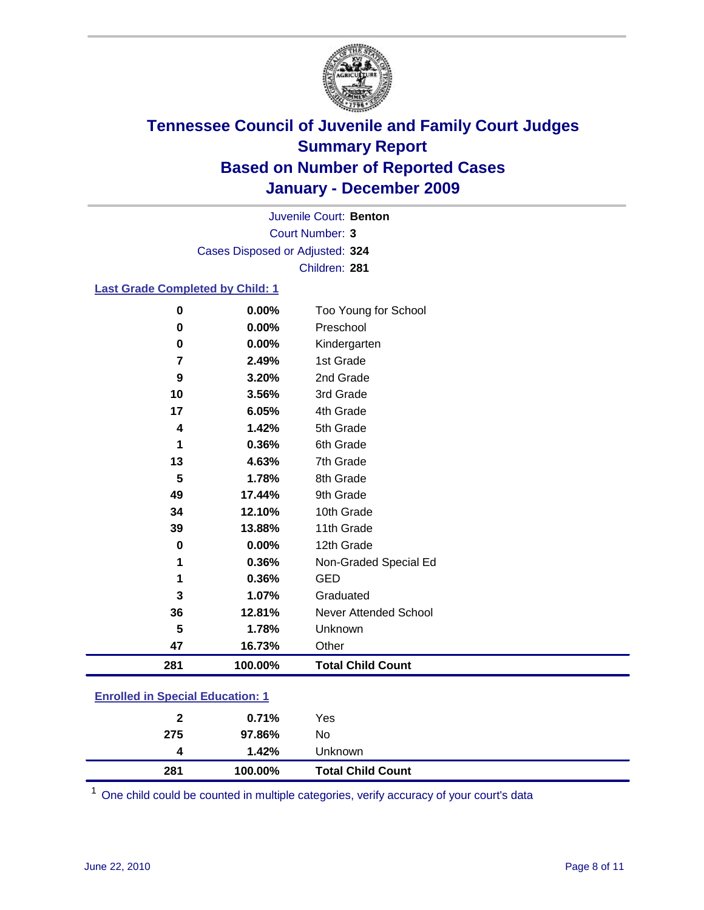

Court Number: **3** Juvenile Court: **Benton** Cases Disposed or Adjusted: **324** Children: **281**

#### **Last Grade Completed by Child: 1**

| 281            | 100.00%  | <b>Total Child Count</b>     |  |
|----------------|----------|------------------------------|--|
| 47             | 16.73%   | Other                        |  |
| 5              | 1.78%    | Unknown                      |  |
| 36             | 12.81%   | <b>Never Attended School</b> |  |
| 3              | 1.07%    | Graduated                    |  |
| 1              | 0.36%    | <b>GED</b>                   |  |
| 1              | 0.36%    | Non-Graded Special Ed        |  |
| $\mathbf 0$    | 0.00%    | 12th Grade                   |  |
| 39             | 13.88%   | 11th Grade                   |  |
| 34             | 12.10%   | 10th Grade                   |  |
| 49             | 17.44%   | 9th Grade                    |  |
| 5              | 1.78%    | 8th Grade                    |  |
| 13             | 4.63%    | 7th Grade                    |  |
| 1              | 0.36%    | 6th Grade                    |  |
| 4              | 1.42%    | 5th Grade                    |  |
| 17             | 6.05%    | 4th Grade                    |  |
| 10             | 3.56%    | 3rd Grade                    |  |
| 9              | 3.20%    | 2nd Grade                    |  |
| $\overline{7}$ | 2.49%    | 1st Grade                    |  |
| $\mathbf 0$    | $0.00\%$ | Kindergarten                 |  |
| 0              | 0.00%    | Preschool                    |  |
| $\mathbf 0$    | 0.00%    | Too Young for School         |  |

### **Enrolled in Special Education: 1**

| 281 | 100.00% | <b>Total Child Count</b> |
|-----|---------|--------------------------|
| 4   | 1.42%   | Unknown                  |
| 275 | 97.86%  | No                       |
| 2   | 0.71%   | Yes                      |
|     |         |                          |

One child could be counted in multiple categories, verify accuracy of your court's data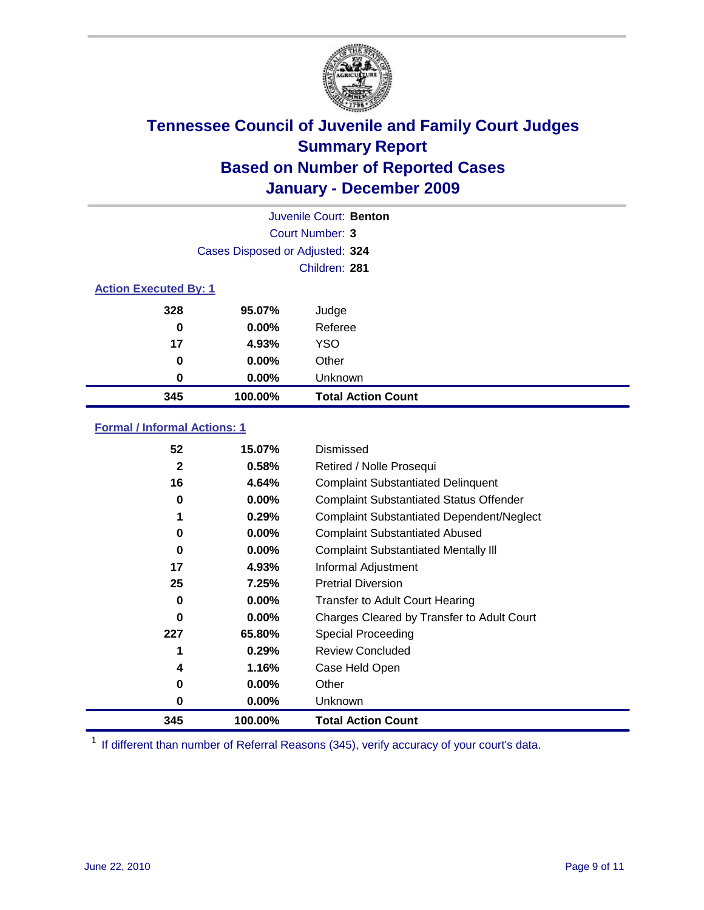

| Juvenile Court: Benton       |                                 |                           |  |  |
|------------------------------|---------------------------------|---------------------------|--|--|
|                              | Court Number: 3                 |                           |  |  |
|                              | Cases Disposed or Adjusted: 324 |                           |  |  |
|                              | Children: 281                   |                           |  |  |
| <b>Action Executed By: 1</b> |                                 |                           |  |  |
| 328                          | 95.07%                          | Judge                     |  |  |
| 0                            | $0.00\%$                        | Referee                   |  |  |
| 17                           | 4.93%                           | <b>YSO</b>                |  |  |
| 0                            | $0.00\%$                        | Other                     |  |  |
| 0                            | $0.00\%$                        | Unknown                   |  |  |
| 345                          | 100.00%                         | <b>Total Action Count</b> |  |  |

### **Formal / Informal Actions: 1**

| 52           | 15.07%   | Dismissed                                        |
|--------------|----------|--------------------------------------------------|
| $\mathbf{2}$ | 0.58%    | Retired / Nolle Prosequi                         |
| 16           | 4.64%    | <b>Complaint Substantiated Delinquent</b>        |
| 0            | $0.00\%$ | <b>Complaint Substantiated Status Offender</b>   |
|              | 0.29%    | <b>Complaint Substantiated Dependent/Neglect</b> |
| 0            | $0.00\%$ | <b>Complaint Substantiated Abused</b>            |
| $\bf{0}$     | $0.00\%$ | <b>Complaint Substantiated Mentally III</b>      |
| 17           | 4.93%    | Informal Adjustment                              |
| 25           | 7.25%    | <b>Pretrial Diversion</b>                        |
| 0            | $0.00\%$ | <b>Transfer to Adult Court Hearing</b>           |
| 0            | $0.00\%$ | Charges Cleared by Transfer to Adult Court       |
| 227          | 65.80%   | <b>Special Proceeding</b>                        |
|              | 0.29%    | <b>Review Concluded</b>                          |
| 4            | 1.16%    | Case Held Open                                   |
| 0            | $0.00\%$ | Other                                            |
| 0            | $0.00\%$ | <b>Unknown</b>                                   |
| 345          | 100.00%  | <b>Total Action Count</b>                        |

<sup>1</sup> If different than number of Referral Reasons (345), verify accuracy of your court's data.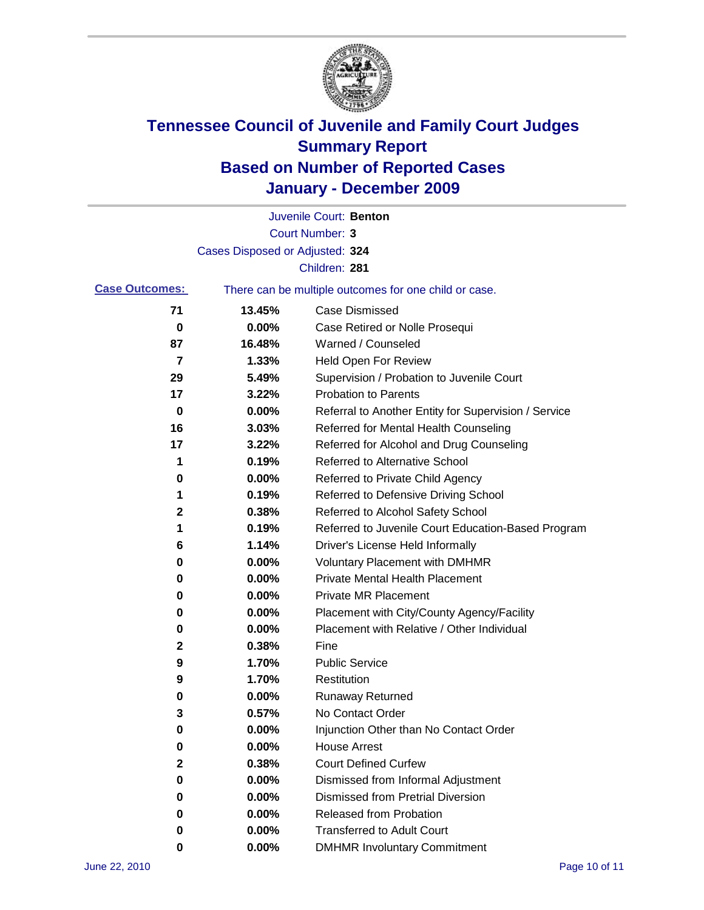

|                       |                                 | Juvenile Court: Benton                                |
|-----------------------|---------------------------------|-------------------------------------------------------|
|                       |                                 | Court Number: 3                                       |
|                       | Cases Disposed or Adjusted: 324 |                                                       |
|                       |                                 | Children: 281                                         |
| <b>Case Outcomes:</b> |                                 | There can be multiple outcomes for one child or case. |
| 71                    | 13.45%                          | <b>Case Dismissed</b>                                 |
| 0                     | 0.00%                           | Case Retired or Nolle Prosequi                        |
| 87                    | 16.48%                          | Warned / Counseled                                    |
| 7                     | 1.33%                           | Held Open For Review                                  |
| 29                    | 5.49%                           | Supervision / Probation to Juvenile Court             |
| 17                    | 3.22%                           | <b>Probation to Parents</b>                           |
| 0                     | 0.00%                           | Referral to Another Entity for Supervision / Service  |
| 16                    | 3.03%                           | Referred for Mental Health Counseling                 |
| 17                    | 3.22%                           | Referred for Alcohol and Drug Counseling              |
| 1                     | 0.19%                           | <b>Referred to Alternative School</b>                 |
| 0                     | 0.00%                           | Referred to Private Child Agency                      |
| 1                     | 0.19%                           | Referred to Defensive Driving School                  |
| $\mathbf 2$           | 0.38%                           | Referred to Alcohol Safety School                     |
| 1                     | 0.19%                           | Referred to Juvenile Court Education-Based Program    |
| 6                     | 1.14%                           | Driver's License Held Informally                      |
| 0                     | 0.00%                           | <b>Voluntary Placement with DMHMR</b>                 |
| 0                     | 0.00%                           | <b>Private Mental Health Placement</b>                |
| 0                     | 0.00%                           | <b>Private MR Placement</b>                           |
| 0                     | 0.00%                           | Placement with City/County Agency/Facility            |
| 0                     | 0.00%                           | Placement with Relative / Other Individual            |
| 2                     | 0.38%                           | Fine                                                  |
| 9                     | 1.70%                           | <b>Public Service</b>                                 |
| 9                     | 1.70%                           | Restitution                                           |
| 0                     | 0.00%                           | <b>Runaway Returned</b>                               |
| 3                     | 0.57%                           | No Contact Order                                      |
| 0                     | 0.00%                           | Injunction Other than No Contact Order                |
| 0                     | 0.00%                           | <b>House Arrest</b>                                   |
| 2                     | 0.38%                           | <b>Court Defined Curfew</b>                           |
| 0                     | 0.00%                           | Dismissed from Informal Adjustment                    |
| 0                     | 0.00%                           | <b>Dismissed from Pretrial Diversion</b>              |
| 0                     | 0.00%                           | Released from Probation                               |
| 0                     | 0.00%                           | <b>Transferred to Adult Court</b>                     |
| 0                     | 0.00%                           | <b>DMHMR Involuntary Commitment</b>                   |